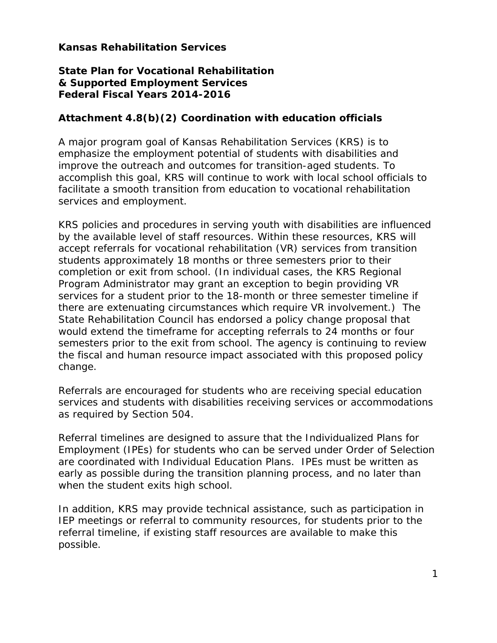## **Kansas Rehabilitation Services**

## **State Plan for Vocational Rehabilitation & Supported Employment Services Federal Fiscal Years 2014-2016**

## **Attachment 4.8(b)(2) Coordination with education officials**

A major program goal of Kansas Rehabilitation Services (KRS) is to emphasize the employment potential of students with disabilities and improve the outreach and outcomes for transition-aged students. To accomplish this goal, KRS will continue to work with local school officials to facilitate a smooth transition from education to vocational rehabilitation services and employment.

KRS policies and procedures in serving youth with disabilities are influenced by the available level of staff resources. Within these resources, KRS will accept referrals for vocational rehabilitation (VR) services from transition students approximately 18 months or three semesters prior to their completion or exit from school. (In individual cases, the KRS Regional Program Administrator may grant an exception to begin providing VR services for a student prior to the 18-month or three semester timeline if there are extenuating circumstances which require VR involvement.) The State Rehabilitation Council has endorsed a policy change proposal that would extend the timeframe for accepting referrals to 24 months or four semesters prior to the exit from school. The agency is continuing to review the fiscal and human resource impact associated with this proposed policy change.

Referrals are encouraged for students who are receiving special education services and students with disabilities receiving services or accommodations as required by Section 504.

Referral timelines are designed to assure that the Individualized Plans for Employment (IPEs) for students who can be served under Order of Selection are coordinated with Individual Education Plans. IPEs must be written as early as possible during the transition planning process, and no later than when the student exits high school.

In addition, KRS may provide technical assistance, such as participation in IEP meetings or referral to community resources, for students prior to the referral timeline, if existing staff resources are available to make this possible.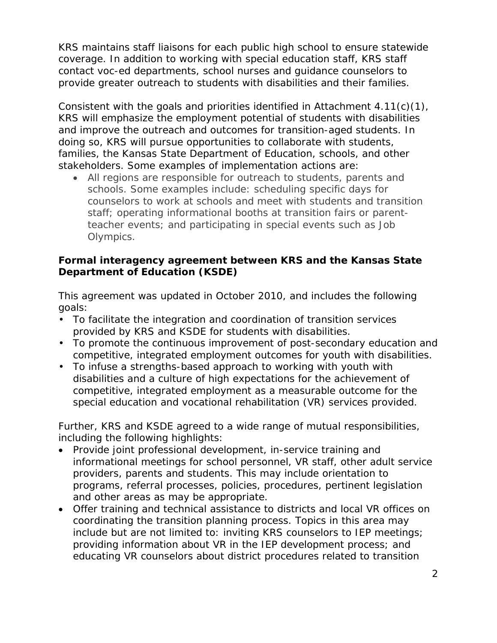KRS maintains staff liaisons for each public high school to ensure statewide coverage. In addition to working with special education staff, KRS staff contact voc-ed departments, school nurses and guidance counselors to provide greater outreach to students with disabilities and their families.

Consistent with the goals and priorities identified in Attachment 4.11(c)(1), KRS will emphasize the employment potential of students with disabilities and improve the outreach and outcomes for transition-aged students. In doing so, KRS will pursue opportunities to collaborate with students, families, the Kansas State Department of Education, schools, and other stakeholders. Some examples of implementation actions are:

• All regions are responsible for outreach to students, parents and schools. Some examples include: scheduling specific days for counselors to work at schools and meet with students and transition staff; operating informational booths at transition fairs or parentteacher events; and participating in special events such as Job Olympics.

## **Formal interagency agreement between KRS and the Kansas State Department of Education (KSDE)**

This agreement was updated in October 2010, and includes the following goals:

- To facilitate the integration and coordination of transition services provided by KRS and KSDE for students with disabilities.
- To promote the continuous improvement of post-secondary education and competitive, integrated employment outcomes for youth with disabilities.
- To infuse a strengths-based approach to working with youth with disabilities and a culture of high expectations for the achievement of competitive, integrated employment as a measurable outcome for the special education and vocational rehabilitation (VR) services provided.

Further, KRS and KSDE agreed to a wide range of mutual responsibilities, including the following highlights:

- Provide joint professional development, in-service training and informational meetings for school personnel, VR staff, other adult service providers, parents and students. This may include orientation to programs, referral processes, policies, procedures, pertinent legislation and other areas as may be appropriate.
- Offer training and technical assistance to districts and local VR offices on coordinating the transition planning process. Topics in this area may include but are not limited to: inviting KRS counselors to IEP meetings; providing information about VR in the IEP development process; and educating VR counselors about district procedures related to transition